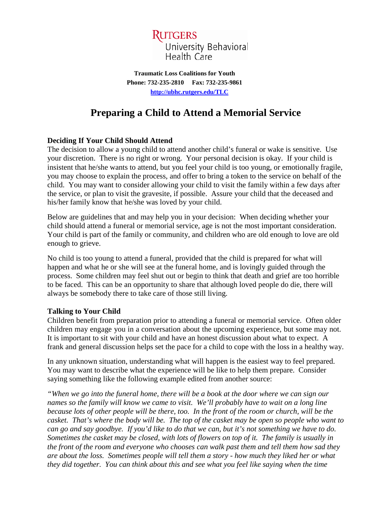

**Traumatic Loss Coalitions for Youth Phone: 732-235-2810 Fax: 732-235-9861 [http://ubhc.rutgers.edu/TLC](http://ubhc.rutgers.edu/brti/TLC)**

# **Preparing a Child to Attend a Memorial Service**

## **Deciding If Your Child Should Attend**

The decision to allow a young child to attend another child's funeral or wake is sensitive. Use your discretion. There is no right or wrong. Your personal decision is okay. If your child is insistent that he/she wants to attend, but you feel your child is too young, or emotionally fragile, you may choose to explain the process, and offer to bring a token to the service on behalf of the child. You may want to consider allowing your child to visit the family within a few days after the service, or plan to visit the gravesite, if possible. Assure your child that the deceased and his/her family know that he/she was loved by your child.

Below are guidelines that and may help you in your decision: When deciding whether your child should attend a funeral or memorial service, age is not the most important consideration. Your child is part of the family or community, and children who are old enough to love are old enough to grieve.

No child is too young to attend a funeral, provided that the child is prepared for what will happen and what he or she will see at the funeral home, and is lovingly guided through the process. Some children may feel shut out or begin to think that death and grief are too horrible to be faced. This can be an opportunity to share that although loved people do die, there will always be somebody there to take care of those still living.

#### **Talking to Your Child**

Children benefit from preparation prior to attending a funeral or memorial service. Often older children may engage you in a conversation about the upcoming experience, but some may not. It is important to sit with your child and have an honest discussion about what to expect. A frank and general discussion helps set the pace for a child to cope with the loss in a healthy way.

In any unknown situation, understanding what will happen is the easiest way to feel prepared. You may want to describe what the experience will be like to help them prepare. Consider saying something like the following example edited from another source:

*"When we go into the funeral home, there will be a book at the door where we can sign our names so the family will know we came to visit. We'll probably have to wait on a long line because lots of other people will be there, too. In the front of the room or church, will be the casket. That's where the body will be. The top of the casket may be open so people who want to can go and say goodbye. If you'd like to do that we can, but it's not something we have to do. Sometimes the casket may be closed, with lots of flowers on top of it. The family is usually in the front of the room and everyone who chooses can walk past them and tell them how sad they are about the loss. Sometimes people will tell them a story - how much they liked her or what they did together. You can think about this and see what you feel like saying when the time*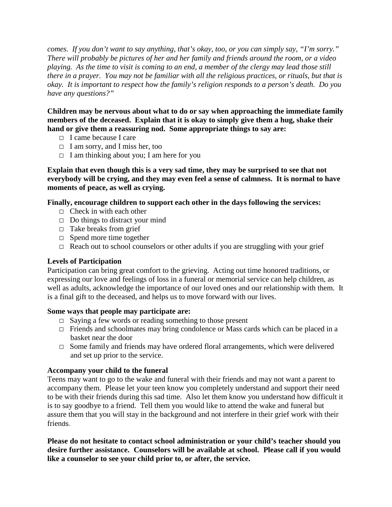*comes. If you don't want to say anything, that's okay, too, or you can simply say, "I'm sorry." There will probably be pictures of her and her family and friends around the room, or a video playing. As the time to visit is coming to an end, a member of the clergy may lead those still there in a prayer. You may not be familiar with all the religious practices, or rituals, but that is okay. It is important to respect how the family's religion responds to a person's death. Do you have any questions?"* 

**Children may be nervous about what to do or say when approaching the immediate family members of the deceased. Explain that it is okay to simply give them a hug, shake their hand or give them a reassuring nod. Some appropriate things to say are:**

- $\Box$  I came because I care
- $\Box$  I am sorry, and I miss her, too
- $\Box$  I am thinking about you; I am here for you

**Explain that even though this is a very sad time, they may be surprised to see that not everybody will be crying, and they may even feel a sense of calmness. It is normal to have moments of peace, as well as crying.**

### **Finally, encourage children to support each other in the days following the services:**

- $\Box$  Check in with each other
- $\Box$  Do things to distract your mind
- $\Box$  Take breaks from grief
- $\Box$  Spend more time together
- $\Box$  Reach out to school counselors or other adults if you are struggling with your grief

### **Levels of Participation**

Participation can bring great comfort to the grieving. Acting out time honored traditions, or expressing our love and feelings of loss in a funeral or memorial service can help children, as well as adults, acknowledge the importance of our loved ones and our relationship with them. It is a final gift to the deceased, and helps us to move forward with our lives.

### **Some ways that people may participate are:**

- $\Box$  Saying a few words or reading something to those present
- $\Box$  Friends and schoolmates may bring condolence or Mass cards which can be placed in a basket near the door
- $\Box$  Some family and friends may have ordered floral arrangements, which were delivered and set up prior to the service.

### **Accompany your child to the funeral**

Teens may want to go to the wake and funeral with their friends and may not want a parent to accompany them. Please let your teen know you completely understand and support their need to be with their friends during this sad time. Also let them know you understand how difficult it is to say goodbye to a friend. Tell them you would like to attend the wake and funeral but assure them that you will stay in the background and not interfere in their grief work with their friends.

**Please do not hesitate to contact school administration or your child's teacher should you desire further assistance. Counselors will be available at school. Please call if you would like a counselor to see your child prior to, or after, the service.**